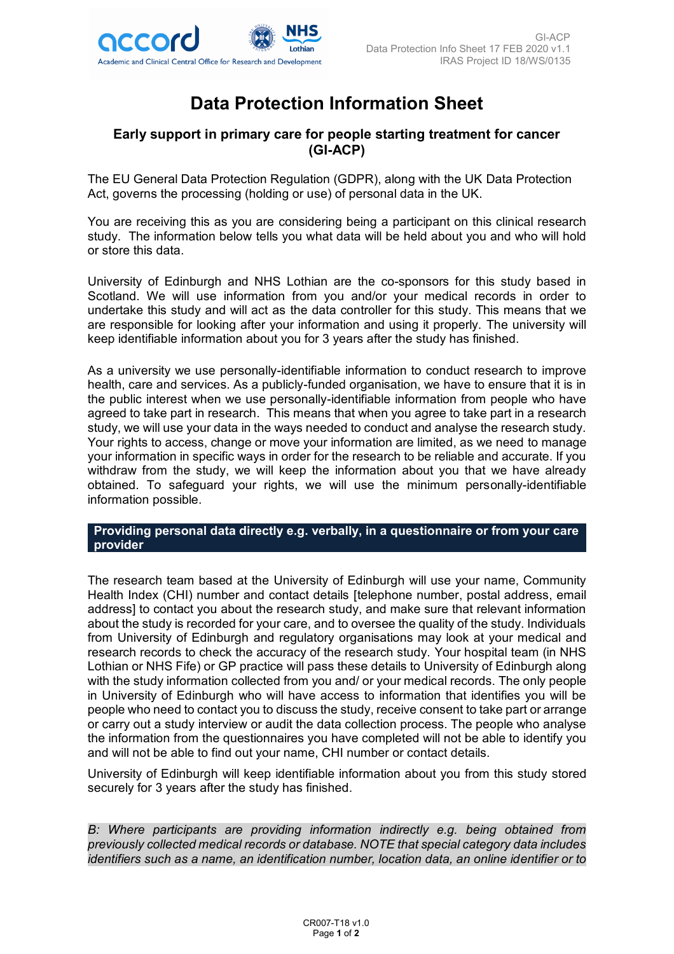

# **Data Protection Information Sheet**

# **Early support in primary care for people starting treatment for cancer (GI-ACP)**

The EU General Data Protection Regulation (GDPR), along with the UK Data Protection Act, governs the processing (holding or use) of personal data in the UK.

You are receiving this as you are considering being a participant on this clinical research study. The information below tells you what data will be held about you and who will hold or store this data.

University of Edinburgh and NHS Lothian are the co-sponsors for this study based in Scotland. We will use information from you and/or your medical records in order to undertake this study and will act as the data controller for this study. This means that we are responsible for looking after your information and using it properly. The university will keep identifiable information about you for 3 years after the study has finished.

As a university we use personally-identifiable information to conduct research to improve health, care and services. As a publicly-funded organisation, we have to ensure that it is in the public interest when we use personally-identifiable information from people who have agreed to take part in research. This means that when you agree to take part in a research study, we will use your data in the ways needed to conduct and analyse the research study. Your rights to access, change or move your information are limited, as we need to manage your information in specific ways in order for the research to be reliable and accurate. If you withdraw from the study, we will keep the information about you that we have already obtained. To safeguard your rights, we will use the minimum personally-identifiable information possible.

#### **Providing personal data directly e.g. verbally, in a questionnaire or from your care provider**

The research team based at the University of Edinburgh will use your name, Community Health Index (CHI) number and contact details [telephone number, postal address, email address] to contact you about the research study, and make sure that relevant information about the study is recorded for your care, and to oversee the quality of the study. Individuals from University of Edinburgh and regulatory organisations may look at your medical and research records to check the accuracy of the research study. Your hospital team (in NHS Lothian or NHS Fife) or GP practice will pass these details to University of Edinburgh along with the study information collected from you and/ or your medical records. The only people in University of Edinburgh who will have access to information that identifies you will be people who need to contact you to discuss the study, receive consent to take part or arrange or carry out a study interview or audit the data collection process. The people who analyse the information from the questionnaires you have completed will not be able to identify you and will not be able to find out your name, CHI number or contact details.

University of Edinburgh will keep identifiable information about you from this study stored securely for 3 years after the study has finished.

*B: Where participants are providing information indirectly e.g. being obtained from previously collected medical records or database. NOTE that special category data includes identifiers such as a name, an identification number, location data, an online identifier or to*